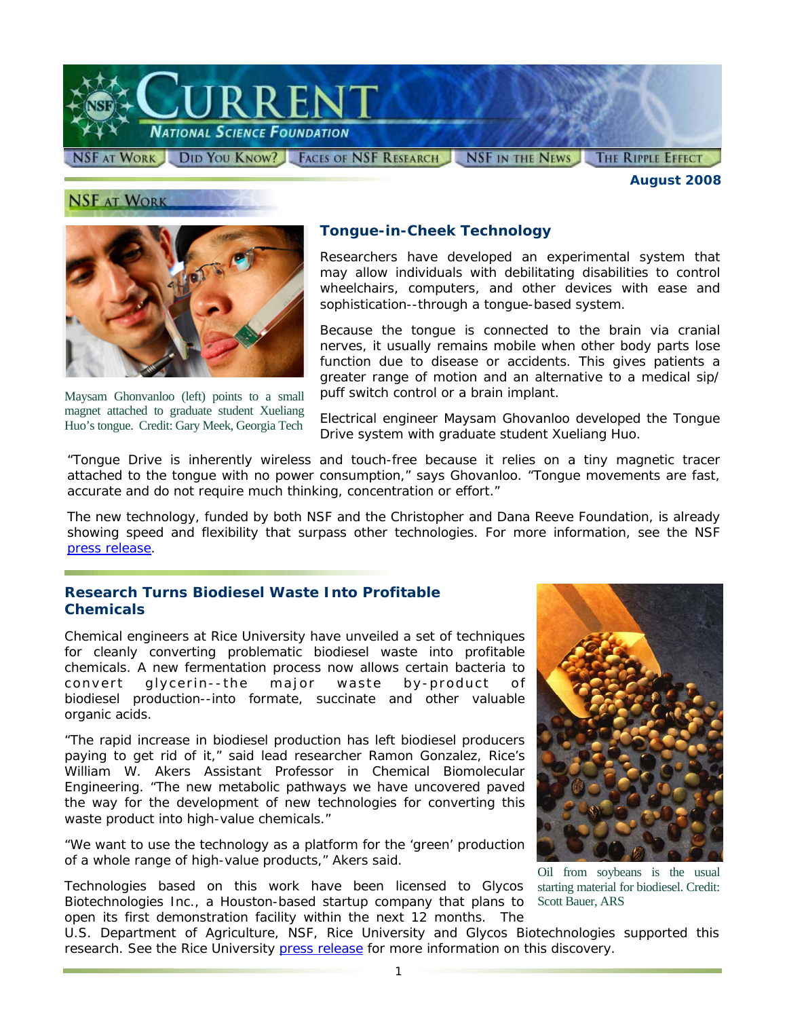

**NSF AT WORK** 

*August 2008* 



Maysam Ghonvanloo (left) points to a small magnet attached to graduate student Xueliang Huo's tongue. Credit: Gary Meek, Georgia Tech

## **Tongue-in-Cheek Technology**

Researchers have developed an experimental system that may allow individuals with debilitating disabilities to control wheelchairs, computers, and other devices with ease and sophistication--through a tongue-based system.

Because the tongue is connected to the brain via cranial nerves, it usually remains mobile when other body parts lose function due to disease or accidents. This gives patients a greater range of motion and an alternative to a medical sip/ puff switch control or a brain implant.

Electrical engineer Maysam Ghovanloo developed the Tongue Drive system with graduate student Xueliang Huo.

"Tongue Drive is inherently wireless and touch-free because it relies on a tiny magnetic tracer attached to the tongue with no power consumption," says Ghovanloo. "Tongue movements are fast, accurate and do not require much thinking, concentration or effort."

The new technology, funded by both NSF and the Christopher and Dana Reeve Foundation, is already showing speed and flexibility that surpass other technologies. For more information, see the NSF [press release.](http://www.nsf.gov/news/news_summ.jsp?cntn_id=111936)

### **Research Turns Biodiesel Waste Into Profitable Chemicals**

Chemical engineers at Rice University have unveiled a set of techniques for cleanly converting problematic biodiesel waste into profitable chemicals. A new fermentation process now allows certain bacteria to convert glycerin--the major waste by-product of biodiesel production--into formate, succinate and other valuable organic acids.

"The rapid increase in biodiesel production has left biodiesel producers paying to get rid of it," said lead researcher Ramon Gonzalez, Rice's William W. Akers Assistant Professor in Chemical Biomolecular Engineering. "The new metabolic pathways we have uncovered paved the way for the development of new technologies for converting this waste product into high-value chemicals."

"We want to use the technology as a platform for the 'green' production of a whole range of high-value products," Akers said.

Technologies based on this work have been licensed to Glycos Biotechnologies Inc., a Houston-based startup company that plans to open its first demonstration facility within the next 12 months. The



Oil from soybeans is the usual starting material for biodiesel. Credit: Scott Bauer, ARS

U.S. Department of Agriculture, NSF, Rice University and Glycos Biotechnologies supported this research. See the Rice University [press release](http://www.nsf.gov/cgi-bin/goodbye?http://www.media.rice.edu/media/NewsBot.asp?MODE=VIEW&ID=11182&SnID=22716532) for more information on this discovery.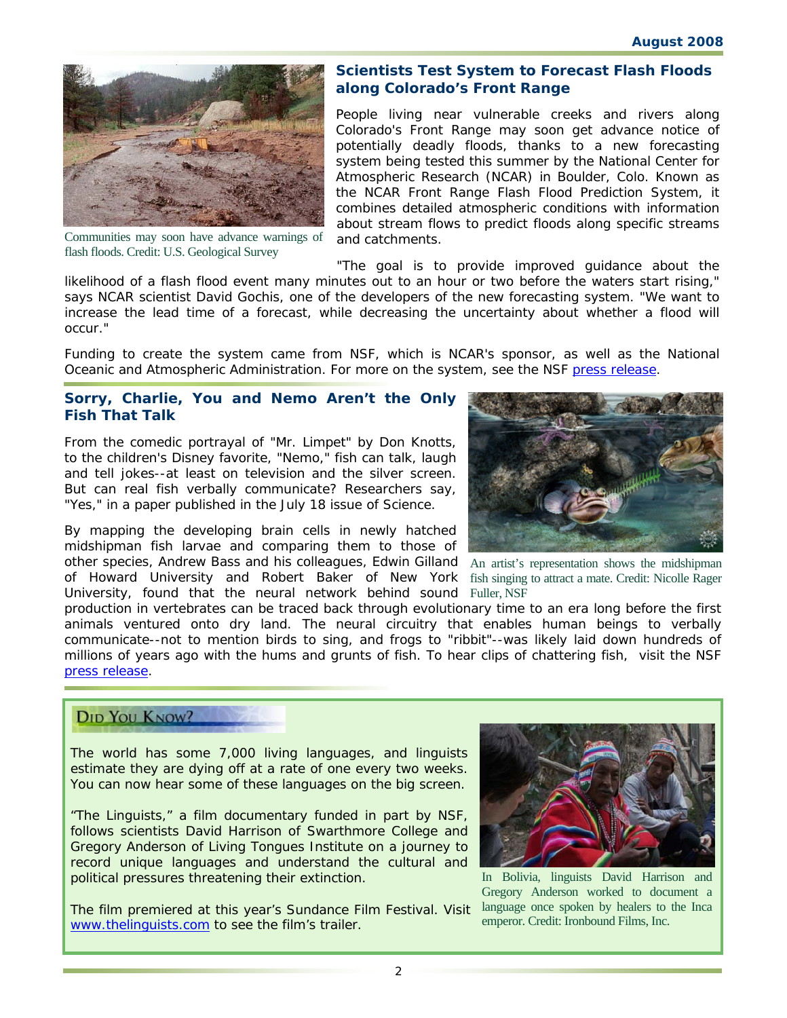

Communities may soon have advance warnings of flash floods. Credit: U.S. Geological Survey

### **Scientists Test System to Forecast Flash Floods along Colorado's Front Range**

People living near vulnerable creeks and rivers along Colorado's Front Range may soon get advance notice of potentially deadly floods, thanks to a new forecasting system being tested this summer by the National Center for Atmospheric Research (NCAR) in Boulder, Colo. Known as the NCAR Front Range Flash Flood Prediction System, it combines detailed atmospheric conditions with information about stream flows to predict floods along specific streams and catchments.

"The goal is to provide improved guidance about the likelihood of a flash flood event many minutes out to an hour or two before the waters start rising," says NCAR scientist David Gochis, one of the developers of the new forecasting system. "We want to increase the lead time of a forecast, while decreasing the uncertainty about whether a flood will occur."

Funding to create the system came from NSF, which is NCAR's sponsor, as well as the National Oceanic and Atmospheric Administration. For more on the system, see the NSF [press release.](http://www.nsf.gov/news/news_summ.jsp?cntn_id=111932&org=NSF&from=news)

### **Sorry, Charlie, You and Nemo Aren't the Only Fish That Talk**

From the comedic portrayal of "Mr. Limpet" by Don Knotts, to the children's Disney favorite, "Nemo," fish can talk, laugh and tell jokes--at least on television and the silver screen. But can real fish verbally communicate? Researchers say, "Yes," in a paper published in the July 18 issue of *Science*.

By mapping the developing brain cells in newly hatched midshipman fish larvae and comparing them to those of other species, Andrew Bass and his colleagues, Edwin Gilland An artist's representation shows the midshipman of Howard University and Robert Baker of New York fish singing to attract a mate. Credit: Nicolle Rager University, found that the neural network behind sound Fuller, NSF



production in vertebrates can be traced back through evolutionary time to an era long before the first animals ventured onto dry land. The neural circuitry that enables human beings to verbally communicate--not to mention birds to sing, and frogs to "ribbit"--was likely laid down hundreds of millions of years ago with the hums and grunts of fish. To hear clips of chattering fish, visit the NSF [press release.](http://www.nsf.gov/news/news_images.jsp?cntn_id=111929&org=NSF)

# DID YOU KNOW?

The world has some 7,000 living languages, and linguists estimate they are dying off at a rate of one every two weeks. You can now hear some of these languages on the big screen.

"The Linguists," a film documentary funded in part by NSF, follows scientists David Harrison of Swarthmore College and Gregory Anderson of Living Tongues Institute on a journey to record unique languages and understand the cultural and political pressures threatening their extinction.

The film premiered at this year's Sundance Film Festival. Visit [www.thelinguists.com](http://www.nsf.gov/cgi-bin/goodbye?http://www.thelinguists.com) to see the film's trailer.



In Bolivia, linguists David Harrison and Gregory Anderson worked to document a language once spoken by healers to the Inca emperor. Credit: Ironbound Films, Inc.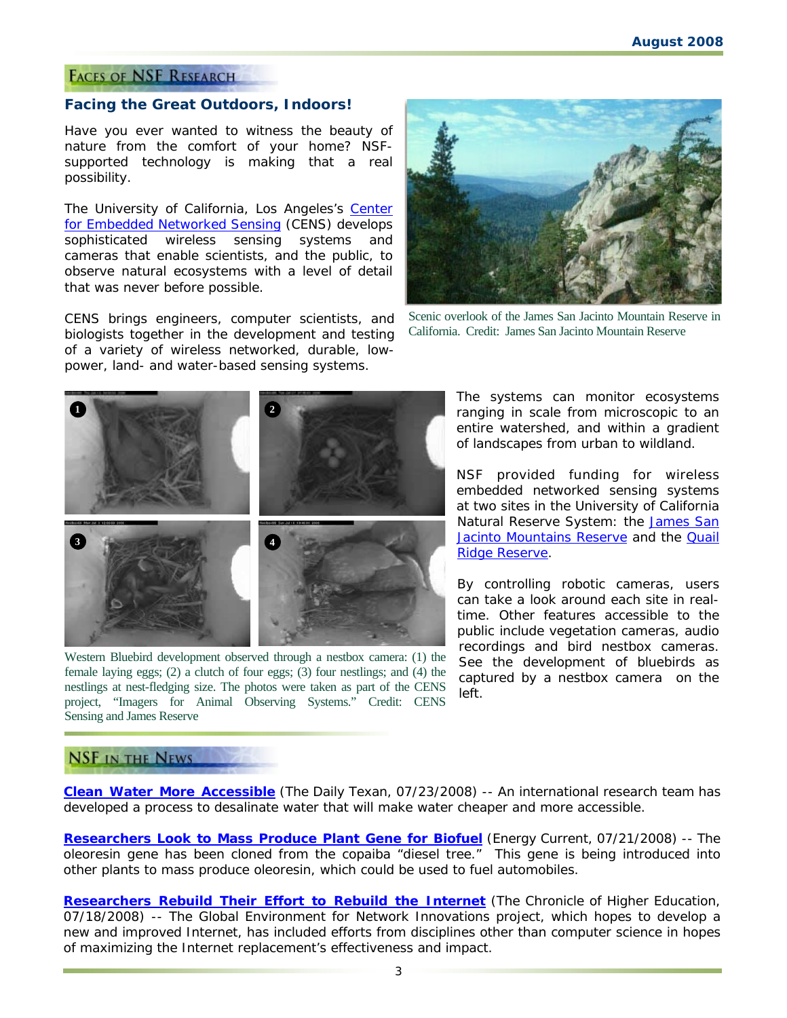### **FACES OF NSF RESEARCH**

#### **Facing the Great Outdoors, Indoors!**

Have you ever wanted to witness the beauty of nature from the comfort of your home? NSFsupported technology is making that a real possibility.

The University of California, Los Angeles's [Center](http://www.nsf.gov/cgi-bin/goodbye?http://research.cens.ucla.edu/)  [for Embedded Networked Sensing](http://www.nsf.gov/cgi-bin/goodbye?http://research.cens.ucla.edu/) (CENS) develops sophisticated wireless sensing systems and cameras that enable scientists, and the public, to observe natural ecosystems with a level of detail that was never before possible.

CENS brings engineers, computer scientists, and biologists together in the development and testing of a variety of wireless networked, durable, lowpower, land- and water-based sensing systems.



Scenic overlook of the James San Jacinto Mountain Reserve in California. Credit: James San Jacinto Mountain Reserve



Western Bluebird development observed through a nestbox camera: (1) the female laying eggs; (2) a clutch of four eggs; (3) four nestlings; and (4) the nestlings at nest-fledging size. The photos were taken as part of the CENS project, "Imagers for Animal Observing Systems." Credit: CENS Sensing and James Reserve

The systems can monitor ecosystems ranging in scale from microscopic to an entire watershed, and within a gradient of landscapes from urban to wildland.

NSF provided funding for wireless embedded networked sensing systems at two sites in the University of California Natural Reserve System: the [James San](http://www.nsf.gov/cgi-bin/goodbye?http://www.jamesreserve.edu/WebcamFiles/Robocam.html)  [Jacinto Mountains Reserve](http://www.nsf.gov/cgi-bin/goodbye?http://www.jamesreserve.edu/WebcamFiles/Robocam.html) and the **Quail** [Ridge Reserve.](http://www.nsf.gov/cgi-bin/goodbye?http://nrs.ucdavis.edu/Quail/Technical/DFGEYE.htm)

By controlling robotic cameras, users can take a look around each site in realtime. Other features accessible to the public include vegetation cameras, audio recordings and bird nestbox cameras. See the development of bluebirds as captured by a nestbox camera on the left.

## **NSF IN THE NEWS**

**[Clean Water More Accessible](http://www.nsf.gov/cgi-bin/goodbye?http://media.www.dailytexanonline.com/media/storage/paper410/news/2008/07/23/TopStories/Clean.Water.More.Accessible.Thanks.To.Ut.Professor-3393605.shtml)** (*The Daily Texan, 07/23/2008*) -- An international research team has developed a process to desalinate water that will make water cheaper and more accessible.

**[Researchers Look to Mass Produce Plant Gene for Biofuel](http://www.nsf.gov/cgi-bin/goodbye?http://www.energycurrent.com/index.php?id=3&storyid=11968)** (*Energy Current, 07/21/2008*) -- The oleoresin gene has been cloned from the copaiba "diesel tree." This gene is being introduced into other plants to mass produce oleoresin, which could be used to fuel automobiles.

**[Researchers Rebuild Their Effort to Rebuild the Internet](http://www.nsf.gov/cgi-bin/goodbye?http://chronicle.com/free/v54/i45/45a01101.htm)** (*The Chronicle of Higher Education, 07/18/2008*) -- The Global Environment for Network Innovations project, which hopes to develop a new and improved Internet, has included efforts from disciplines other than computer science in hopes of maximizing the Internet replacement's effectiveness and impact.